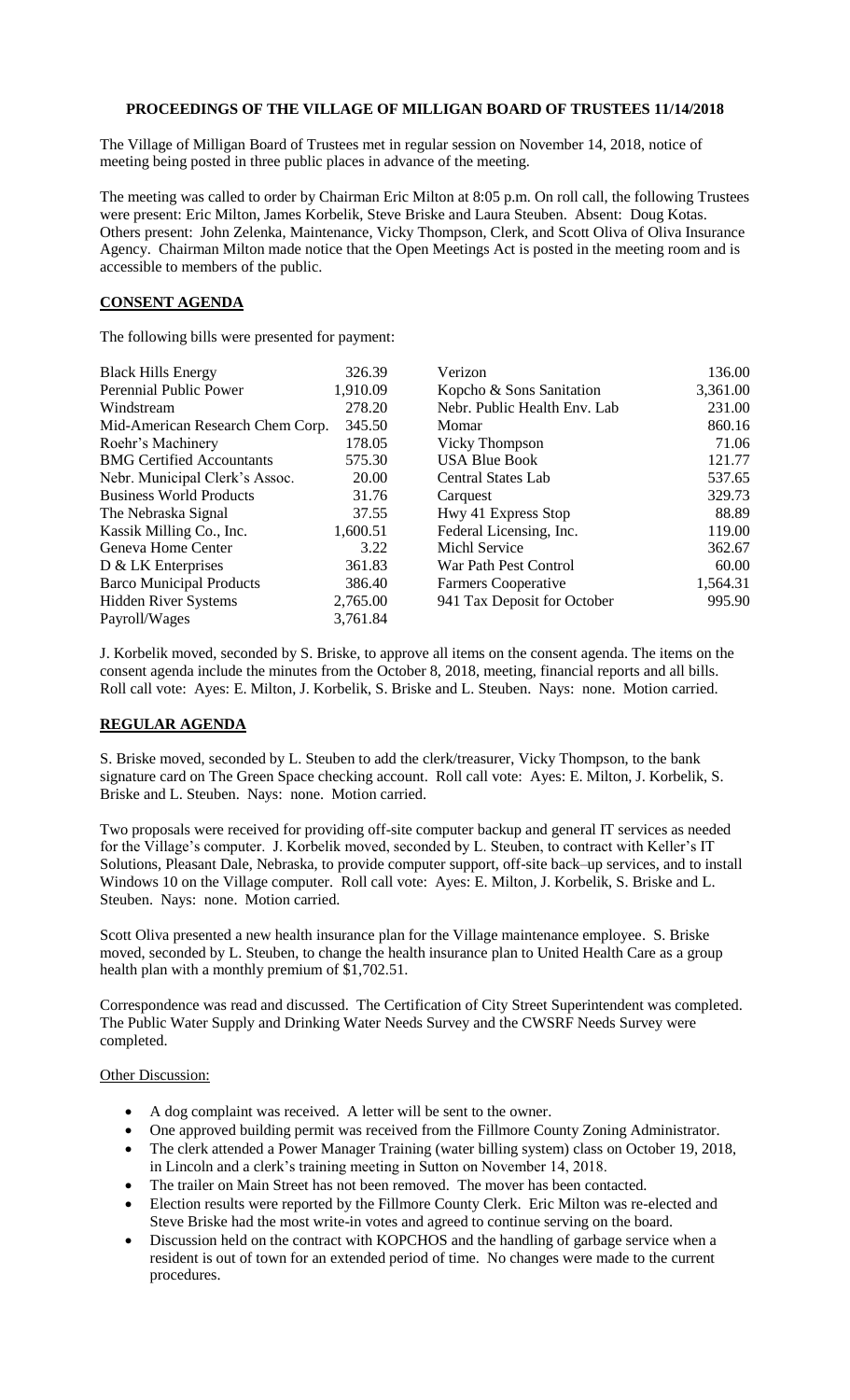## **PROCEEDINGS OF THE VILLAGE OF MILLIGAN BOARD OF TRUSTEES 11/14/2018**

The Village of Milligan Board of Trustees met in regular session on November 14, 2018, notice of meeting being posted in three public places in advance of the meeting.

The meeting was called to order by Chairman Eric Milton at 8:05 p.m. On roll call, the following Trustees were present: Eric Milton, James Korbelik, Steve Briske and Laura Steuben. Absent: Doug Kotas. Others present: John Zelenka, Maintenance, Vicky Thompson, Clerk, and Scott Oliva of Oliva Insurance Agency. Chairman Milton made notice that the Open Meetings Act is posted in the meeting room and is accessible to members of the public.

## **CONSENT AGENDA**

The following bills were presented for payment:

| <b>Black Hills Energy</b>        | 326.39   | Verizon                      | 136.00   |
|----------------------------------|----------|------------------------------|----------|
| Perennial Public Power           | 1,910.09 | Kopcho & Sons Sanitation     | 3,361.00 |
| Windstream                       | 278.20   | Nebr. Public Health Env. Lab | 231.00   |
| Mid-American Research Chem Corp. | 345.50   | Momar                        | 860.16   |
| Roehr's Machinery                | 178.05   | Vicky Thompson               | 71.06    |
| <b>BMG</b> Certified Accountants | 575.30   | <b>USA Blue Book</b>         | 121.77   |
| Nebr. Municipal Clerk's Assoc.   | 20.00    | <b>Central States Lab</b>    | 537.65   |
| <b>Business World Products</b>   | 31.76    | Carquest                     | 329.73   |
| The Nebraska Signal              | 37.55    | Hwy 41 Express Stop          | 88.89    |
| Kassik Milling Co., Inc.         | 1,600.51 | Federal Licensing, Inc.      | 119.00   |
| Geneva Home Center               | 3.22     | <b>Michl Service</b>         | 362.67   |
| $D & LK$ Enterprises             | 361.83   | War Path Pest Control        | 60.00    |
| <b>Barco Municipal Products</b>  | 386.40   | <b>Farmers Cooperative</b>   | 1,564.31 |
| <b>Hidden River Systems</b>      | 2,765.00 | 941 Tax Deposit for October  | 995.90   |
| Payroll/Wages                    | 3,761.84 |                              |          |

J. Korbelik moved, seconded by S. Briske, to approve all items on the consent agenda. The items on the consent agenda include the minutes from the October 8, 2018, meeting, financial reports and all bills. Roll call vote: Ayes: E. Milton, J. Korbelik, S. Briske and L. Steuben. Nays: none. Motion carried.

## **REGULAR AGENDA**

S. Briske moved, seconded by L. Steuben to add the clerk/treasurer, Vicky Thompson, to the bank signature card on The Green Space checking account. Roll call vote: Ayes: E. Milton, J. Korbelik, S. Briske and L. Steuben. Nays: none. Motion carried.

Two proposals were received for providing off-site computer backup and general IT services as needed for the Village's computer. J. Korbelik moved, seconded by L. Steuben, to contract with Keller's IT Solutions, Pleasant Dale, Nebraska, to provide computer support, off-site back–up services, and to install Windows 10 on the Village computer. Roll call vote: Ayes: E. Milton, J. Korbelik, S. Briske and L. Steuben. Nays: none. Motion carried.

Scott Oliva presented a new health insurance plan for the Village maintenance employee. S. Briske moved, seconded by L. Steuben, to change the health insurance plan to United Health Care as a group health plan with a monthly premium of \$1,702.51.

Correspondence was read and discussed. The Certification of City Street Superintendent was completed. The Public Water Supply and Drinking Water Needs Survey and the CWSRF Needs Survey were completed.

## **Other Discussion:**

- A dog complaint was received. A letter will be sent to the owner.
- One approved building permit was received from the Fillmore County Zoning Administrator.
- The clerk attended a Power Manager Training (water billing system) class on October 19, 2018, in Lincoln and a clerk's training meeting in Sutton on November 14, 2018.
- The trailer on Main Street has not been removed. The mover has been contacted.
- Election results were reported by the Fillmore County Clerk. Eric Milton was re-elected and Steve Briske had the most write-in votes and agreed to continue serving on the board.
- Discussion held on the contract with KOPCHOS and the handling of garbage service when a resident is out of town for an extended period of time. No changes were made to the current procedures.